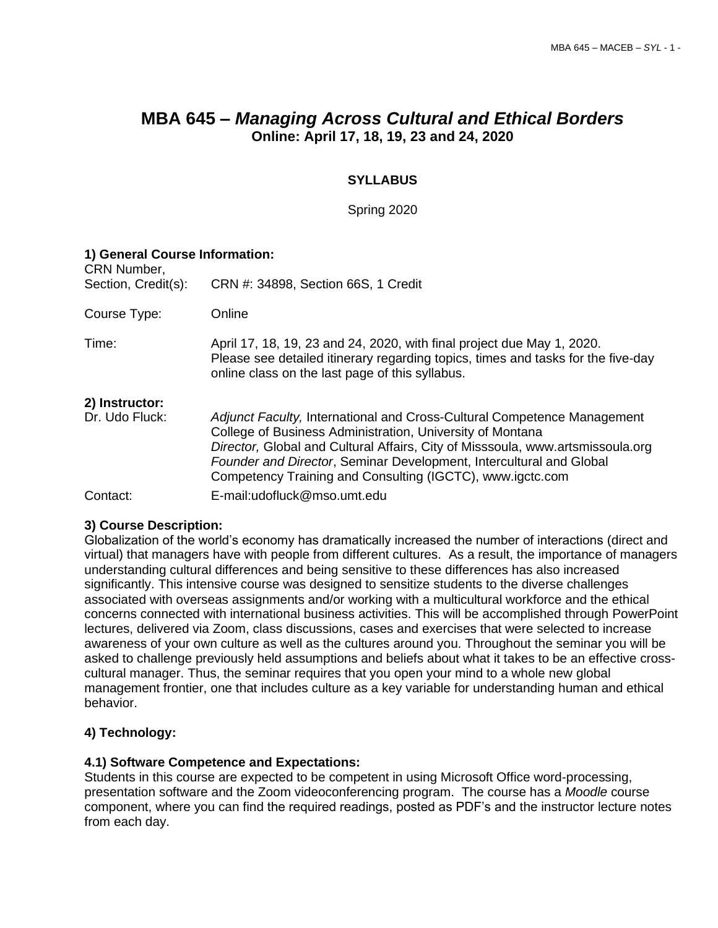# **MBA 645 –** *Managing Across Cultural and Ethical Borders* **Online: April 17, 18, 19, 23 and 24, 2020**

# **SYLLABUS**

Spring 2020

| 1) General Course Information:<br>CRN Number, |                                                                                                                                                                                                                                                                                 |  |  |  |  |
|-----------------------------------------------|---------------------------------------------------------------------------------------------------------------------------------------------------------------------------------------------------------------------------------------------------------------------------------|--|--|--|--|
| Section, Credit(s):                           | CRN #: 34898, Section 66S, 1 Credit                                                                                                                                                                                                                                             |  |  |  |  |
| Course Type:                                  | Online                                                                                                                                                                                                                                                                          |  |  |  |  |
| Time:                                         | April 17, 18, 19, 23 and 24, 2020, with final project due May 1, 2020.<br>Please see detailed itinerary regarding topics, times and tasks for the five-day<br>online class on the last page of this syllabus.                                                                   |  |  |  |  |
| 2) Instructor:<br>Dr. Udo Fluck:              | Adjunct Faculty, International and Cross-Cultural Competence Management                                                                                                                                                                                                         |  |  |  |  |
|                                               | College of Business Administration, University of Montana<br>Director, Global and Cultural Affairs, City of Misssoula, www.artsmissoula.org<br>Founder and Director, Seminar Development, Intercultural and Global<br>Competency Training and Consulting (IGCTC), www.igctc.com |  |  |  |  |
| Contact:                                      | E-mail:udofluck@mso.umt.edu                                                                                                                                                                                                                                                     |  |  |  |  |

# **3) Course Description:**

Globalization of the world's economy has dramatically increased the number of interactions (direct and virtual) that managers have with people from different cultures. As a result, the importance of managers understanding cultural differences and being sensitive to these differences has also increased significantly. This intensive course was designed to sensitize students to the diverse challenges associated with overseas assignments and/or working with a multicultural workforce and the ethical concerns connected with international business activities. This will be accomplished through PowerPoint lectures, delivered via Zoom, class discussions, cases and exercises that were selected to increase awareness of your own culture as well as the cultures around you. Throughout the seminar you will be asked to challenge previously held assumptions and beliefs about what it takes to be an effective crosscultural manager. Thus, the seminar requires that you open your mind to a whole new global management frontier, one that includes culture as a key variable for understanding human and ethical behavior.

# **4) Technology:**

#### **4.1) Software Competence and Expectations:**

Students in this course are expected to be competent in using Microsoft Office word-processing, presentation software and the Zoom videoconferencing program. The course has a *Moodle* course component, where you can find the required readings, posted as PDF's and the instructor lecture notes from each day.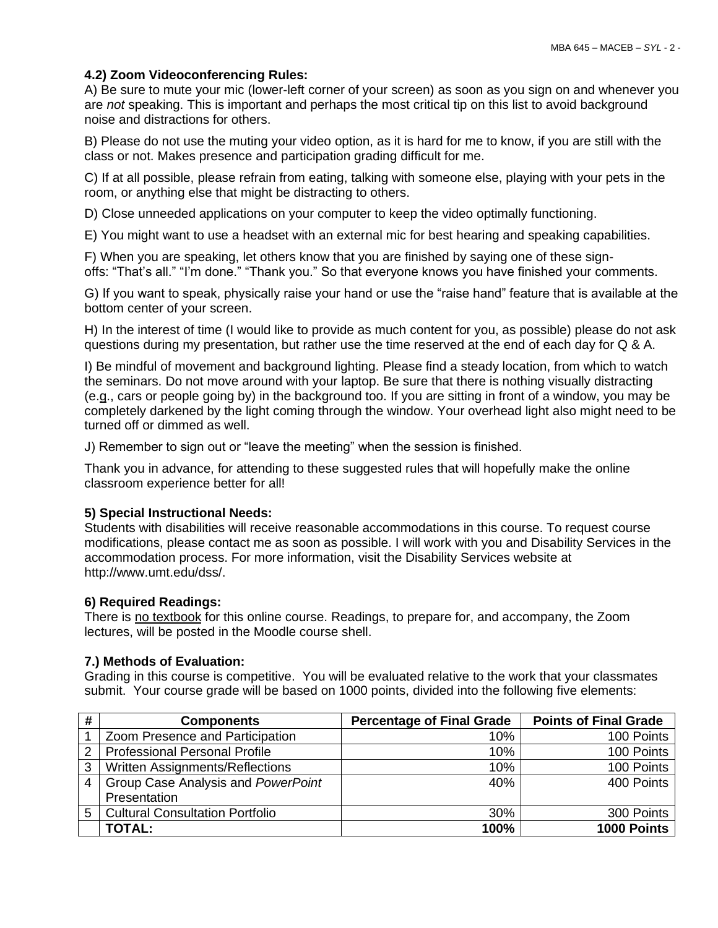# **4.2) Zoom Videoconferencing Rules:**

A) Be sure to mute your mic (lower-left corner of your screen) as soon as you sign on and whenever you are *not* speaking. This is important and perhaps the most critical tip on this list to avoid background noise and distractions for others.

B) Please do not use the muting your video option, as it is hard for me to know, if you are still with the class or not. Makes presence and participation grading difficult for me.

C) If at all possible, please refrain from eating, talking with someone else, playing with your pets in the room, or anything else that might be distracting to others.

D) Close unneeded applications on your computer to keep the video optimally functioning.

E) You might want to use a headset with an external mic for best hearing and speaking capabilities.

F) When you are speaking, let others know that you are finished by saying one of these signoffs: "That's all." "I'm done." "Thank you." So that everyone knows you have finished your comments.

G) If you want to speak, physically raise your hand or use the "raise hand" feature that is available at the bottom center of your screen.

H) In the interest of time (I would like to provide as much content for you, as possible) please do not ask questions during my presentation, but rather use the time reserved at the end of each day for Q & A.

I) Be mindful of movement and background lighting. Please find a steady location, from which to watch the seminars. Do not move around with your laptop. Be sure that there is nothing visually distracting (e[.g.](https://www.psychologytoday.com/us/basics/intelligence), cars or people going by) in the background too. If you are sitting in front of a window, you may be completely darkened by the light coming through the window. Your overhead light also might need to be turned off or dimmed as well.

J) Remember to sign out or "leave the meeting" when the session is finished.

Thank you in advance, for attending to these suggested rules that will hopefully make the online classroom experience better for all!

# **5) Special Instructional Needs:**

Students with disabilities will receive reasonable accommodations in this course. To request course modifications, please contact me as soon as possible. I will work with you and Disability Services in the accommodation process. For more information, visit the Disability Services website at http://www.umt.edu/dss/.

#### **6) Required Readings:**

There is no textbook for this online course. Readings, to prepare for, and accompany, the Zoom lectures, will be posted in the Moodle course shell.

#### **7.) Methods of Evaluation:**

Grading in this course is competitive. You will be evaluated relative to the work that your classmates submit. Your course grade will be based on 1000 points, divided into the following five elements:

| #              | <b>Components</b>                      | <b>Percentage of Final Grade</b> | <b>Points of Final Grade</b> |
|----------------|----------------------------------------|----------------------------------|------------------------------|
|                | Zoom Presence and Participation        | $10\%$                           | 100 Points                   |
| $\overline{2}$ | <b>Professional Personal Profile</b>   | 10%                              | 100 Points                   |
| 3              | Written Assignments/Reflections        | 10%                              | 100 Points                   |
| 4              | Group Case Analysis and PowerPoint     | 40%                              | 400 Points                   |
|                | Presentation                           |                                  |                              |
| 5              | <b>Cultural Consultation Portfolio</b> | 30%                              | 300 Points                   |
|                | <b>TOTAL:</b>                          | 100%                             | 1000 Points                  |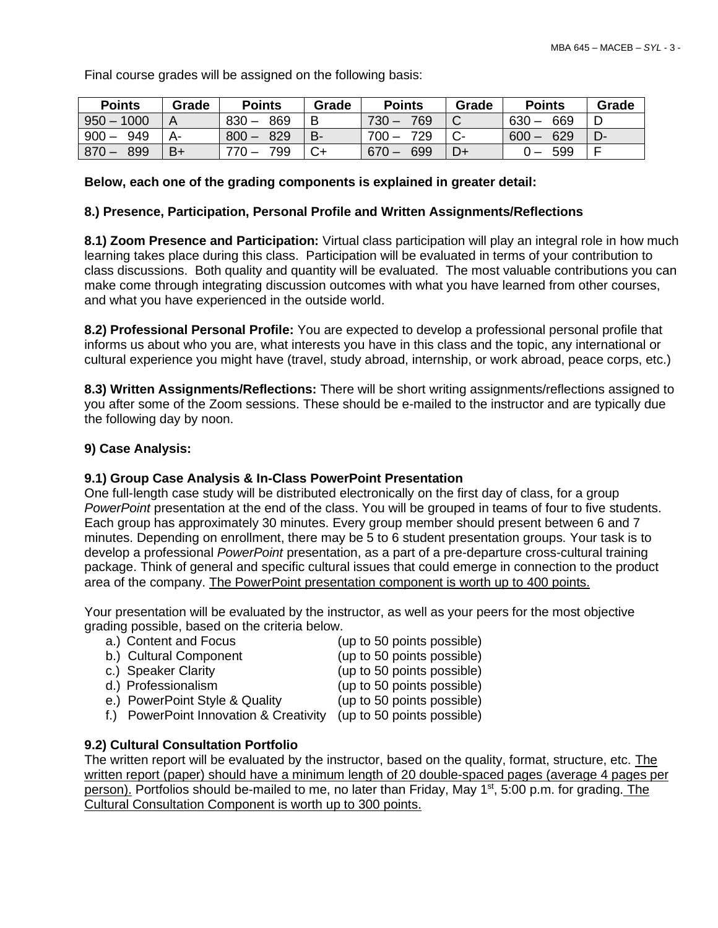Final course grades will be assigned on the following basis:

| <b>Points</b>  | Grade | <b>Points</b>  | Grade | <b>Points</b>  | Grade       | <b>Points</b>  | Grade |
|----------------|-------|----------------|-------|----------------|-------------|----------------|-------|
| $950 - 1000$   | A     | $830 -$<br>869 | B     | 769<br>$730 -$ | $\sim$<br>◡ | 669<br>$630 -$ |       |
| 949<br>$900 -$ | А-    | $800 -$<br>829 | B-    | 729<br>$700 -$ | $\sim$      | 629<br>$600 -$ | D-    |
| 899<br>$870 -$ | B+    | 799            |       | 699<br>$670 -$ | D+          | 599            |       |

## **Below, each one of the grading components is explained in greater detail:**

## **8.) Presence, Participation, Personal Profile and Written Assignments/Reflections**

**8.1) Zoom Presence and Participation:** Virtual class participation will play an integral role in how much learning takes place during this class. Participation will be evaluated in terms of your contribution to class discussions. Both quality and quantity will be evaluated. The most valuable contributions you can make come through integrating discussion outcomes with what you have learned from other courses, and what you have experienced in the outside world.

**8.2) Professional Personal Profile:** You are expected to develop a professional personal profile that informs us about who you are, what interests you have in this class and the topic, any international or cultural experience you might have (travel, study abroad, internship, or work abroad, peace corps, etc.)

**8.3) Written Assignments/Reflections:** There will be short writing assignments/reflections assigned to you after some of the Zoom sessions. These should be e-mailed to the instructor and are typically due the following day by noon.

## **9) Case Analysis:**

# **9.1) Group Case Analysis & In-Class PowerPoint Presentation**

One full-length case study will be distributed electronically on the first day of class, for a group *PowerPoint* presentation at the end of the class. You will be grouped in teams of four to five students. Each group has approximately 30 minutes. Every group member should present between 6 and 7 minutes. Depending on enrollment, there may be 5 to 6 student presentation groups. Your task is to develop a professional *PowerPoint* presentation, as a part of a pre-departure cross-cultural training package. Think of general and specific cultural issues that could emerge in connection to the product area of the company. The PowerPoint presentation component is worth up to 400 points.

Your presentation will be evaluated by the instructor, as well as your peers for the most objective grading possible, based on the criteria below.

- a.) Content and Focus (up to 50 points possible)
- b.) Cultural Component (up to 50 points possible)
- c.) Speaker Clarity (up to 50 points possible)
- 
- e.) PowerPoint Style & Quality (up to 50 points possible)
- d.) Professionalism (up to 50 points possible)
	-
- f.) PowerPoint Innovation & Creativity (up to 50 points possible)
- 
- **9.2) Cultural Consultation Portfolio**

The written report will be evaluated by the instructor, based on the quality, format, structure, etc. The written report (paper) should have a minimum length of 20 double-spaced pages (average 4 pages per person). Portfolios should be-mailed to me, no later than Friday, May 1<sup>st</sup>, 5:00 p.m. for grading. The Cultural Consultation Component is worth up to 300 points.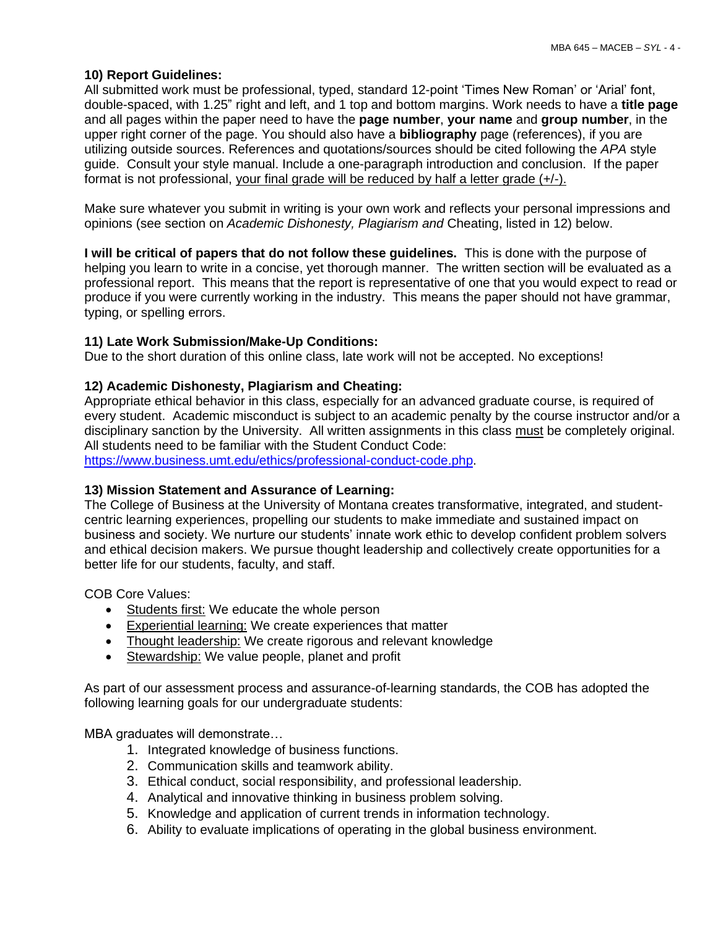# **10) Report Guidelines:**

All submitted work must be professional, typed, standard 12-point 'Times New Roman' or 'Arial' font, double-spaced, with 1.25" right and left, and 1 top and bottom margins. Work needs to have a **title page** and all pages within the paper need to have the **page number**, **your name** and **group number**, in the upper right corner of the page. You should also have a **bibliography** page (references), if you are utilizing outside sources. References and quotations/sources should be cited following the *APA* style guide. Consult your style manual. Include a one-paragraph introduction and conclusion. If the paper format is not professional, your final grade will be reduced by half a letter grade (+/-).

Make sure whatever you submit in writing is your own work and reflects your personal impressions and opinions (see section on *Academic Dishonesty, Plagiarism and* Cheating, listed in 12) below.

**I will be critical of papers that do not follow these guidelines.** This is done with the purpose of helping you learn to write in a concise, yet thorough manner. The written section will be evaluated as a professional report. This means that the report is representative of one that you would expect to read or produce if you were currently working in the industry. This means the paper should not have grammar, typing, or spelling errors.

## **11) Late Work Submission/Make-Up Conditions:**

Due to the short duration of this online class, late work will not be accepted. No exceptions!

## **12) Academic Dishonesty, Plagiarism and Cheating:**

Appropriate ethical behavior in this class, especially for an advanced graduate course, is required of every student. Academic misconduct is subject to an academic penalty by the course instructor and/or a disciplinary sanction by the University. All written assignments in this class must be completely original. All students need to be familiar with the Student Conduct Code:

[https://www.business.umt.edu/ethics/professional-conduct-code.php.](https://www.business.umt.edu/ethics/professional-conduct-code.php)

#### **13) Mission Statement and Assurance of Learning:**

The College of Business at the University of Montana creates transformative, integrated, and studentcentric learning experiences, propelling our students to make immediate and sustained impact on business and society. We nurture our students' innate work ethic to develop confident problem solvers and ethical decision makers. We pursue thought leadership and collectively create opportunities for a better life for our students, faculty, and staff.

COB Core Values:

- Students first: We educate the whole person
- Experiential learning: We create experiences that matter
- Thought leadership: We create rigorous and relevant knowledge
- Stewardship: We value people, planet and profit

As part of our assessment process and assurance-of-learning standards, the COB has adopted the following learning goals for our undergraduate students:

MBA graduates will demonstrate…

- 1. Integrated knowledge of business functions.
- 2. Communication skills and teamwork ability.
- 3. Ethical conduct, social responsibility, and professional leadership.
- 4. Analytical and innovative thinking in business problem solving.
- 5. Knowledge and application of current trends in information technology.
- 6. Ability to evaluate implications of operating in the global business environment.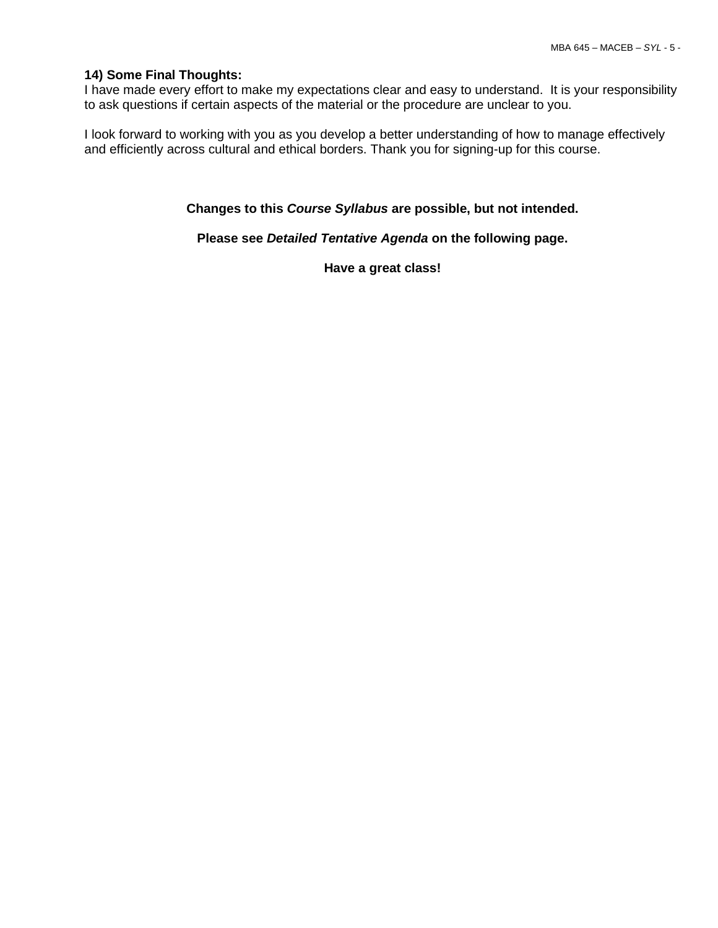#### **14) Some Final Thoughts:**

I have made every effort to make my expectations clear and easy to understand. It is your responsibility to ask questions if certain aspects of the material or the procedure are unclear to you.

I look forward to working with you as you develop a better understanding of how to manage effectively and efficiently across cultural and ethical borders. Thank you for signing-up for this course.

**Changes to this** *Course Syllabus* **are possible, but not intended.**

**Please see** *Detailed Tentative Agenda* **on the following page.**

**Have a great class!**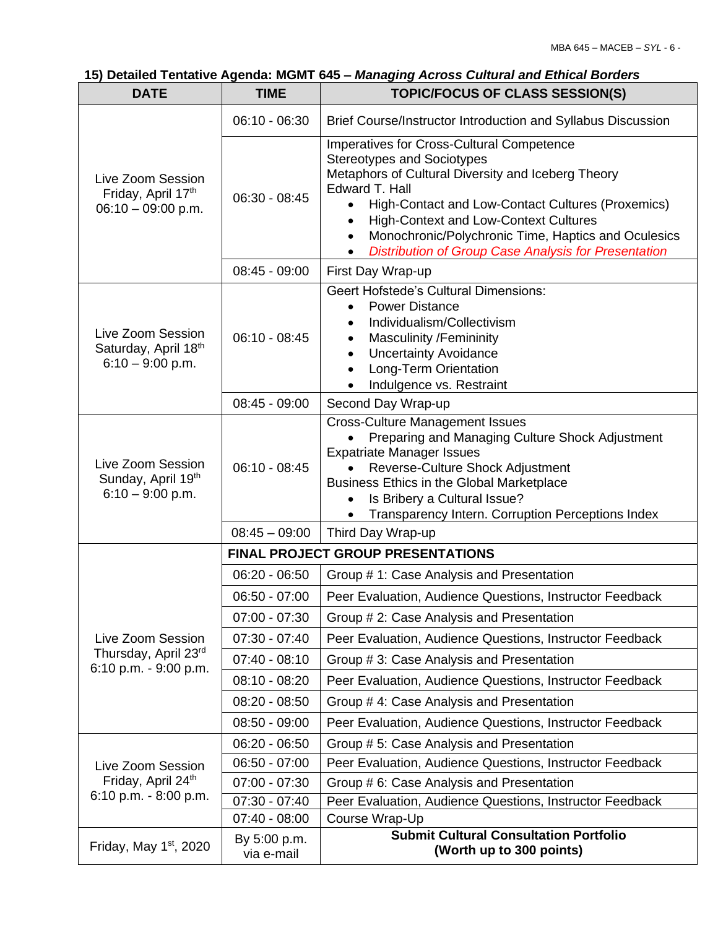# **15) Detailed Tentative Agenda: MGMT 645 –** *Managing Across Cultural and Ethical Borders*

| <b>DATE</b>                                                     | <b>TIME</b>                              | TOPIC/FOCUS OF CLASS SESSION(S)                                                                                                                                                                                                                                                                                                                                                                             |  |  |  |
|-----------------------------------------------------------------|------------------------------------------|-------------------------------------------------------------------------------------------------------------------------------------------------------------------------------------------------------------------------------------------------------------------------------------------------------------------------------------------------------------------------------------------------------------|--|--|--|
|                                                                 | $06:10 - 06:30$                          | Brief Course/Instructor Introduction and Syllabus Discussion                                                                                                                                                                                                                                                                                                                                                |  |  |  |
| Live Zoom Session<br>Friday, April 17th<br>$06:10 - 09:00 p.m.$ | $06:30 - 08:45$                          | Imperatives for Cross-Cultural Competence<br><b>Stereotypes and Sociotypes</b><br>Metaphors of Cultural Diversity and Iceberg Theory<br>Edward T. Hall<br>High-Contact and Low-Contact Cultures (Proxemics)<br><b>High-Context and Low-Context Cultures</b><br>$\bullet$<br>Monochronic/Polychronic Time, Haptics and Oculesics<br>$\bullet$<br><b>Distribution of Group Case Analysis for Presentation</b> |  |  |  |
|                                                                 | $08:45 - 09:00$                          | First Day Wrap-up                                                                                                                                                                                                                                                                                                                                                                                           |  |  |  |
| Live Zoom Session<br>Saturday, April 18th<br>$6:10 - 9:00$ p.m. | $06:10 - 08:45$                          | <b>Geert Hofstede's Cultural Dimensions:</b><br><b>Power Distance</b><br>$\bullet$<br>Individualism/Collectivism<br><b>Masculinity /Femininity</b><br>$\bullet$<br><b>Uncertainty Avoidance</b><br>$\bullet$<br>Long-Term Orientation<br>$\bullet$<br>Indulgence vs. Restraint                                                                                                                              |  |  |  |
|                                                                 | $08:45 - 09:00$                          | Second Day Wrap-up                                                                                                                                                                                                                                                                                                                                                                                          |  |  |  |
| Live Zoom Session<br>Sunday, April 19th<br>$6:10 - 9:00$ p.m.   | $06:10 - 08:45$                          | <b>Cross-Culture Management Issues</b><br>Preparing and Managing Culture Shock Adjustment<br><b>Expatriate Manager Issues</b><br>Reverse-Culture Shock Adjustment<br>Business Ethics in the Global Marketplace<br>Is Bribery a Cultural Issue?<br>Transparency Intern. Corruption Perceptions Index                                                                                                         |  |  |  |
|                                                                 | $08:45 - 09:00$                          | Third Day Wrap-up                                                                                                                                                                                                                                                                                                                                                                                           |  |  |  |
|                                                                 | <b>FINAL PROJECT GROUP PRESENTATIONS</b> |                                                                                                                                                                                                                                                                                                                                                                                                             |  |  |  |
|                                                                 | $06:20 - 06:50$                          | Group # 1: Case Analysis and Presentation                                                                                                                                                                                                                                                                                                                                                                   |  |  |  |
|                                                                 | $06:50 - 07:00$                          | Peer Evaluation, Audience Questions, Instructor Feedback                                                                                                                                                                                                                                                                                                                                                    |  |  |  |
|                                                                 | $07:00 - 07:30$                          | Group # 2: Case Analysis and Presentation                                                                                                                                                                                                                                                                                                                                                                   |  |  |  |
| Live Zoom Session                                               | $07:30 - 07:40$                          | Peer Evaluation, Audience Questions, Instructor Feedback                                                                                                                                                                                                                                                                                                                                                    |  |  |  |
| Thursday, April 23rd<br>6:10 p.m. - 9:00 p.m.                   | $07:40 - 08:10$                          | Group # 3: Case Analysis and Presentation                                                                                                                                                                                                                                                                                                                                                                   |  |  |  |
|                                                                 | $08:10 - 08:20$                          | Peer Evaluation, Audience Questions, Instructor Feedback                                                                                                                                                                                                                                                                                                                                                    |  |  |  |
|                                                                 | $08:20 - 08:50$                          | Group # 4: Case Analysis and Presentation                                                                                                                                                                                                                                                                                                                                                                   |  |  |  |
|                                                                 | $08:50 - 09:00$                          | Peer Evaluation, Audience Questions, Instructor Feedback                                                                                                                                                                                                                                                                                                                                                    |  |  |  |
|                                                                 | $06:20 - 06:50$                          | Group # 5: Case Analysis and Presentation                                                                                                                                                                                                                                                                                                                                                                   |  |  |  |
| Live Zoom Session                                               | $06:50 - 07:00$                          | Peer Evaluation, Audience Questions, Instructor Feedback                                                                                                                                                                                                                                                                                                                                                    |  |  |  |
| Friday, April 24 <sup>th</sup>                                  | $07:00 - 07:30$                          | Group # 6: Case Analysis and Presentation                                                                                                                                                                                                                                                                                                                                                                   |  |  |  |
| $6:10$ p.m. $-8:00$ p.m.                                        | $07:30 - 07:40$                          | Peer Evaluation, Audience Questions, Instructor Feedback                                                                                                                                                                                                                                                                                                                                                    |  |  |  |
|                                                                 | $07:40 - 08:00$                          | Course Wrap-Up                                                                                                                                                                                                                                                                                                                                                                                              |  |  |  |
| Friday, May $1st$ , 2020                                        | By 5:00 p.m.<br>via e-mail               | <b>Submit Cultural Consultation Portfolio</b><br>(Worth up to 300 points)                                                                                                                                                                                                                                                                                                                                   |  |  |  |